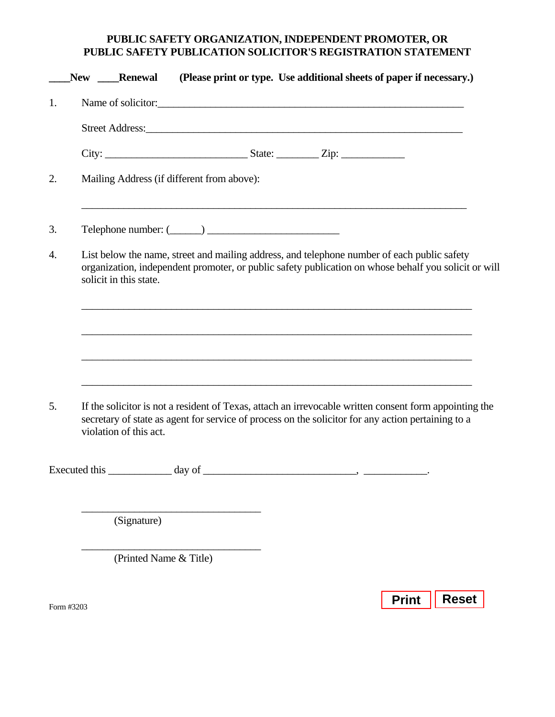## **PUBLIC SAFETY ORGANIZATION, INDEPENDENT PROMOTER, OR PUBLIC SAFETY PUBLICATION SOLICITOR'S REGISTRATION STATEMENT**

|               | New Renewal                                                                                                                                                                                                                            |        | (Please print or type. Use additional sheets of paper if necessary.)                                                                                                                                                           |
|---------------|----------------------------------------------------------------------------------------------------------------------------------------------------------------------------------------------------------------------------------------|--------|--------------------------------------------------------------------------------------------------------------------------------------------------------------------------------------------------------------------------------|
| 1.            |                                                                                                                                                                                                                                        |        | Name of solicitor:                                                                                                                                                                                                             |
|               |                                                                                                                                                                                                                                        |        | Street Address: No. 2016. The Street Address: No. 2016. The Street Address: No. 2016. The Street Address: No. 2017. The Street Address: No. 2017. The Street Address: No. 2017. The Street Address: No. 2017. The Street Addre |
|               |                                                                                                                                                                                                                                        |        |                                                                                                                                                                                                                                |
| 2.            | Mailing Address (if different from above):                                                                                                                                                                                             |        |                                                                                                                                                                                                                                |
| 3.            |                                                                                                                                                                                                                                        |        |                                                                                                                                                                                                                                |
| 4.            | solicit in this state.                                                                                                                                                                                                                 |        | List below the name, street and mailing address, and telephone number of each public safety<br>organization, independent promoter, or public safety publication on whose behalf you solicit or will                            |
|               |                                                                                                                                                                                                                                        |        | ,我们也不能在这里的人,我们也不能在这里的人,我们也不能在这里的人,我们也不能在这里的人,我们也不能在这里的人,我们也不能在这里的人,我们也不能在这里的人,我们也                                                                                                                                              |
|               |                                                                                                                                                                                                                                        |        | and the control of the control of the control of the control of the control of the control of the control of the                                                                                                               |
| 5.            | If the solicitor is not a resident of Texas, attach an irrevocable written consent form appointing the<br>secretary of state as agent for service of process on the solicitor for any action pertaining to a<br>violation of this act. |        |                                                                                                                                                                                                                                |
| Executed this |                                                                                                                                                                                                                                        | day of |                                                                                                                                                                                                                                |
|               | (Signature)                                                                                                                                                                                                                            |        |                                                                                                                                                                                                                                |
|               | (Printed Name & Title)                                                                                                                                                                                                                 |        |                                                                                                                                                                                                                                |
|               |                                                                                                                                                                                                                                        |        |                                                                                                                                                                                                                                |

Form #3203

**Print** | Reset |